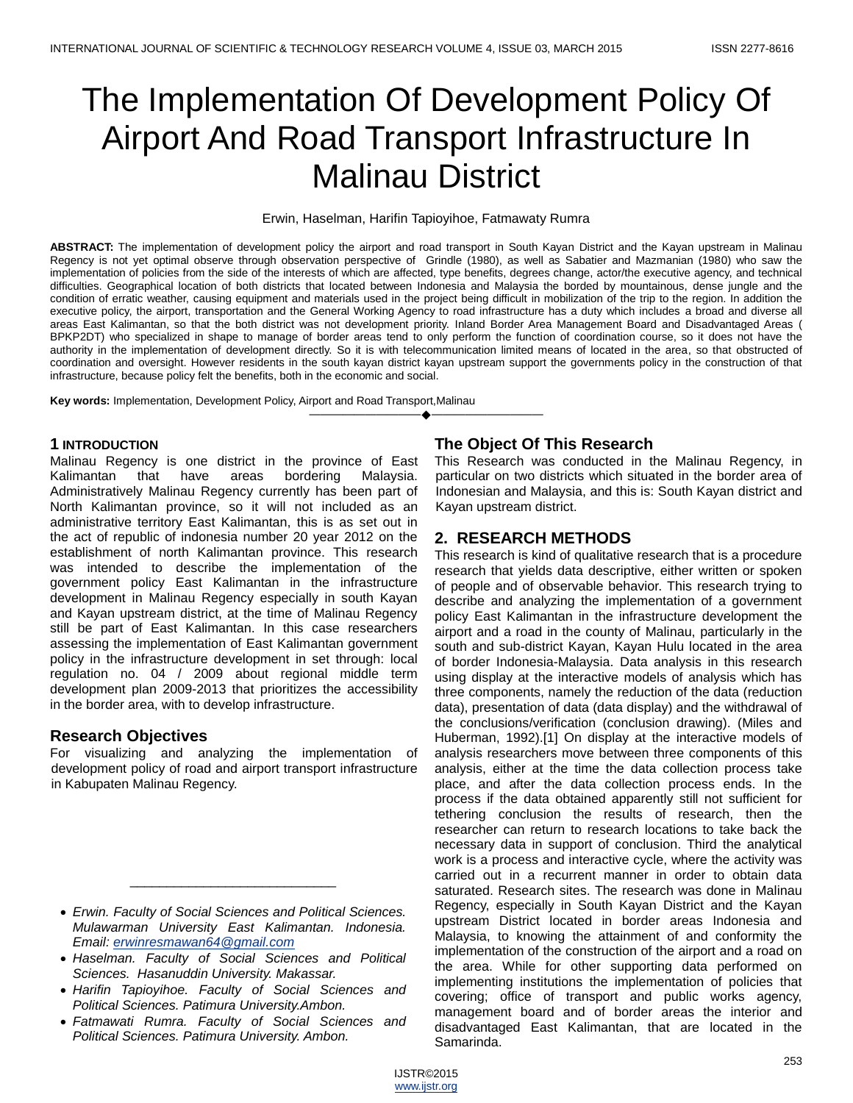# The Implementation Of Development Policy Of Airport And Road Transport Infrastructure In Malinau District

#### Erwin, Haselman, Harifin Tapioyihoe, Fatmawaty Rumra

**ABSTRACT:** The implementation of development policy the airport and road transport in South Kayan District and the Kayan upstream in Malinau Regency is not yet optimal observe through observation perspective of Grindle (1980), as well as Sabatier and Mazmanian (1980) who saw the implementation of policies from the side of the interests of which are affected, type benefits, degrees change, actor/the executive agency, and technical difficulties. Geographical location of both districts that located between Indonesia and Malaysia the borded by mountainous, dense jungle and the condition of erratic weather, causing equipment and materials used in the project being difficult in mobilization of the trip to the region. In addition the executive policy, the airport, transportation and the General Working Agency to road infrastructure has a duty which includes a broad and diverse all areas East Kalimantan, so that the both district was not development priority. Inland Border Area Management Board and Disadvantaged Areas ( BPKP2DT) who specialized in shape to manage of border areas tend to only perform the function of coordination course, so it does not have the authority in the implementation of development directly. So it is with telecommunication limited means of located in the area, so that obstructed of coordination and oversight. However residents in the south kayan district kayan upstream support the governments policy in the construction of that infrastructure, because policy felt the benefits, both in the economic and social.

————————————————————

**Key words:** Implementation, Development Policy, Airport and Road Transport,Malinau

## **1 INTRODUCTION**

Malinau Regency is one district in the province of East Kalimantan that have areas bordering Malaysia. Administratively Malinau Regency currently has been part of North Kalimantan province, so it will not included as an administrative territory East Kalimantan, this is as set out in the act of republic of indonesia number 20 year 2012 on the establishment of north Kalimantan province. This research was intended to describe the implementation of the government policy East Kalimantan in the infrastructure development in Malinau Regency especially in south Kayan and Kayan upstream district, at the time of Malinau Regency still be part of East Kalimantan. In this case researchers assessing the implementation of East Kalimantan government policy in the infrastructure development in set through: local regulation no. 04 / 2009 about regional middle term development plan 2009-2013 that prioritizes the accessibility in the border area, with to develop infrastructure.

## **Research Objectives**

For visualizing and analyzing the implementation of development policy of road and airport transport infrastructure in Kabupaten Malinau Regency.

 *Erwin. Faculty of Social Sciences and Political Sciences. Mulawarman University East Kalimantan. Indonesia. Email: [erwinresmawan64@gmail.com](mailto:erwinresmawan64@gmail.com)*

\_\_\_\_\_\_\_\_\_\_\_\_\_\_\_\_\_\_\_\_\_\_\_\_\_\_\_\_

- *Haselman. Faculty of Social Sciences and Political Sciences. Hasanuddin University. Makassar.*
- *Harifin Tapioyihoe. Faculty of Social Sciences and Political Sciences. Patimura University.Ambon.*
- *Fatmawati Rumra. Faculty of Social Sciences and Political Sciences. Patimura University. Ambon.*

# **The Object Of This Research**

This Research was conducted in the Malinau Regency, in particular on two districts which situated in the border area of Indonesian and Malaysia, and this is: South Kayan district and Kayan upstream district.

# **2. RESEARCH METHODS**

This research is kind of qualitative research that is a procedure research that yields data descriptive, either written or spoken of people and of observable behavior. This research trying to describe and analyzing the implementation of a government policy East Kalimantan in the infrastructure development the airport and a road in the county of Malinau, particularly in the south and sub-district Kayan, Kayan Hulu located in the area of border Indonesia-Malaysia. Data analysis in this research using display at the interactive models of analysis which has three components, namely the reduction of the data (reduction data), presentation of data (data display) and the withdrawal of the conclusions/verification (conclusion drawing). (Miles and Huberman, 1992).[1] On display at the interactive models of analysis researchers move between three components of this analysis, either at the time the data collection process take place, and after the data collection process ends. In the process if the data obtained apparently still not sufficient for tethering conclusion the results of research, then the researcher can return to research locations to take back the necessary data in support of conclusion. Third the analytical work is a process and interactive cycle, where the activity was carried out in a recurrent manner in order to obtain data saturated. Research sites. The research was done in Malinau Regency, especially in South Kayan District and the Kayan upstream District located in border areas Indonesia and Malaysia, to knowing the attainment of and conformity the implementation of the construction of the airport and a road on the area. While for other supporting data performed on implementing institutions the implementation of policies that covering; office of transport and public works agency, management board and of border areas the interior and disadvantaged East Kalimantan, that are located in the Samarinda.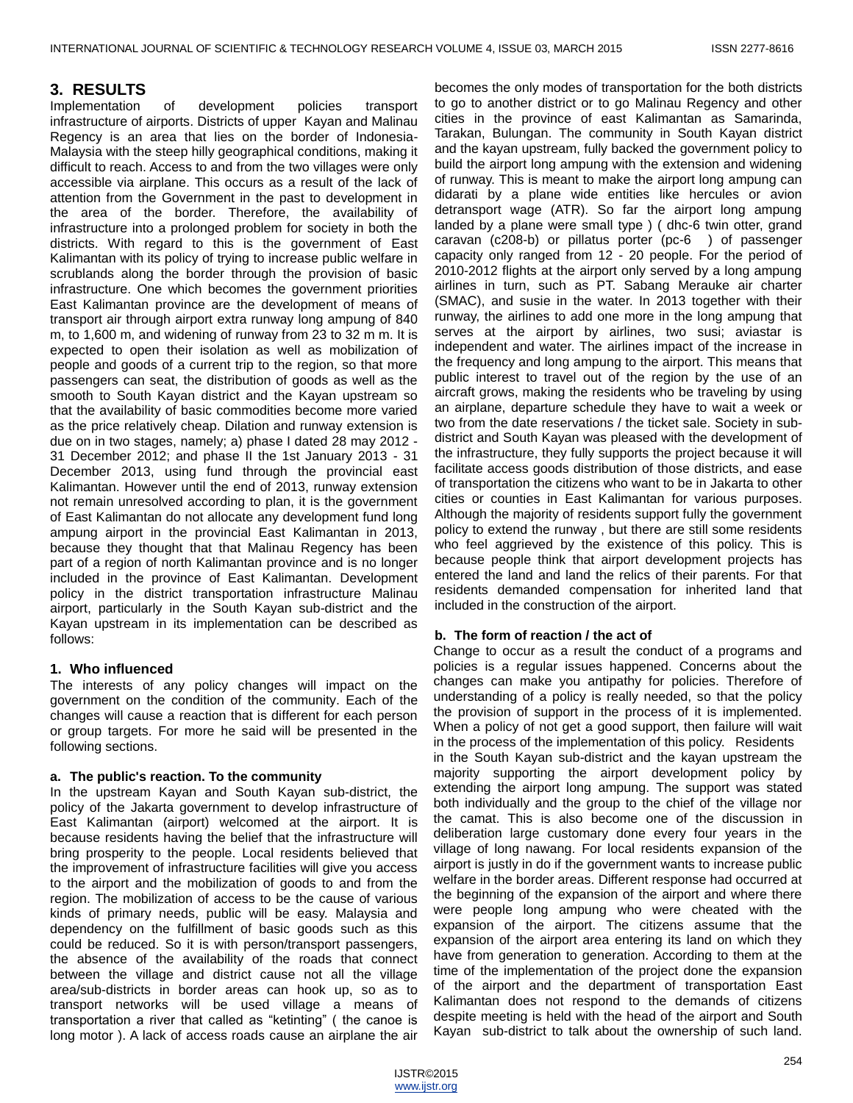## **3. RESULTS**

Implementation of development policies transport infrastructure of airports. Districts of upper Kayan and Malinau Regency is an area that lies on the border of Indonesia-Malaysia with the steep hilly geographical conditions, making it difficult to reach. Access to and from the two villages were only accessible via airplane. This occurs as a result of the lack of attention from the Government in the past to development in the area of the border. Therefore, the availability of infrastructure into a prolonged problem for society in both the districts. With regard to this is the government of East Kalimantan with its policy of trying to increase public welfare in scrublands along the border through the provision of basic infrastructure. One which becomes the government priorities East Kalimantan province are the development of means of transport air through airport extra runway long ampung of 840 m, to 1,600 m, and widening of runway from 23 to 32 m m. It is expected to open their isolation as well as mobilization of people and goods of a current trip to the region, so that more passengers can seat, the distribution of goods as well as the smooth to South Kayan district and the Kayan upstream so that the availability of basic commodities become more varied as the price relatively cheap. Dilation and runway extension is due on in two stages, namely; a) phase I dated 28 may 2012 - 31 December 2012; and phase II the 1st January 2013 - 31 December 2013, using fund through the provincial east Kalimantan. However until the end of 2013, runway extension not remain unresolved according to plan, it is the government of East Kalimantan do not allocate any development fund long ampung airport in the provincial East Kalimantan in 2013, because they thought that that Malinau Regency has been part of a region of north Kalimantan province and is no longer included in the province of East Kalimantan. Development policy in the district transportation infrastructure Malinau airport, particularly in the South Kayan sub-district and the Kayan upstream in its implementation can be described as follows:

## **1. Who influenced**

The interests of any policy changes will impact on the government on the condition of the community. Each of the changes will cause a reaction that is different for each person or group targets. For more he said will be presented in the following sections.

## **a. The public's reaction. To the community**

In the upstream Kayan and South Kayan sub-district, the policy of the Jakarta government to develop infrastructure of East Kalimantan (airport) welcomed at the airport. It is because residents having the belief that the infrastructure will bring prosperity to the people. Local residents believed that the improvement of infrastructure facilities will give you access to the airport and the mobilization of goods to and from the region. The mobilization of access to be the cause of various kinds of primary needs, public will be easy. Malaysia and dependency on the fulfillment of basic goods such as this could be reduced. So it is with person/transport passengers, the absence of the availability of the roads that connect between the village and district cause not all the village area/sub-districts in border areas can hook up, so as to transport networks will be used village a means of transportation a river that called as "ketinting" ( the canoe is long motor ). A lack of access roads cause an airplane the air

becomes the only modes of transportation for the both districts to go to another district or to go Malinau Regency and other cities in the province of east Kalimantan as Samarinda, Tarakan, Bulungan. The community in South Kayan district and the kayan upstream, fully backed the government policy to build the airport long ampung with the extension and widening of runway. This is meant to make the airport long ampung can didarati by a plane wide entities like hercules or avion detransport wage (ATR). So far the airport long ampung landed by a plane were small type ) ( dhc-6 twin otter, grand caravan (c208-b) or pillatus porter (pc-6 ) of passenger capacity only ranged from 12 - 20 people. For the period of 2010-2012 flights at the airport only served by a long ampung airlines in turn, such as PT. Sabang Merauke air charter (SMAC), and susie in the water. In 2013 together with their runway, the airlines to add one more in the long ampung that serves at the airport by airlines, two susi; aviastar is independent and water. The airlines impact of the increase in the frequency and long ampung to the airport. This means that public interest to travel out of the region by the use of an aircraft grows, making the residents who be traveling by using an airplane, departure schedule they have to wait a week or two from the date reservations / the ticket sale. Society in subdistrict and South Kayan was pleased with the development of the infrastructure, they fully supports the project because it will facilitate access goods distribution of those districts, and ease of transportation the citizens who want to be in Jakarta to other cities or counties in East Kalimantan for various purposes. Although the majority of residents support fully the government policy to extend the runway , but there are still some residents who feel aggrieved by the existence of this policy. This is because people think that airport development projects has entered the land and land the relics of their parents. For that residents demanded compensation for inherited land that included in the construction of the airport.

## **b. The form of reaction / the act of**

Change to occur as a result the conduct of a programs and policies is a regular issues happened. Concerns about the changes can make you antipathy for policies. Therefore of understanding of a policy is really needed, so that the policy the provision of support in the process of it is implemented. When a policy of not get a good support, then failure will wait in the process of the implementation of this policy. Residents in the South Kayan sub-district and the kayan upstream the majority supporting the airport development policy by extending the airport long ampung. The support was stated both individually and the group to the chief of the village nor the camat. This is also become one of the discussion in deliberation large customary done every four years in the village of long nawang. For local residents expansion of the airport is justly in do if the government wants to increase public welfare in the border areas. Different response had occurred at the beginning of the expansion of the airport and where there were people long ampung who were cheated with the expansion of the airport. The citizens assume that the expansion of the airport area entering its land on which they have from generation to generation. According to them at the time of the implementation of the project done the expansion of the airport and the department of transportation East Kalimantan does not respond to the demands of citizens despite meeting is held with the head of the airport and South Kayan sub-district to talk about the ownership of such land.

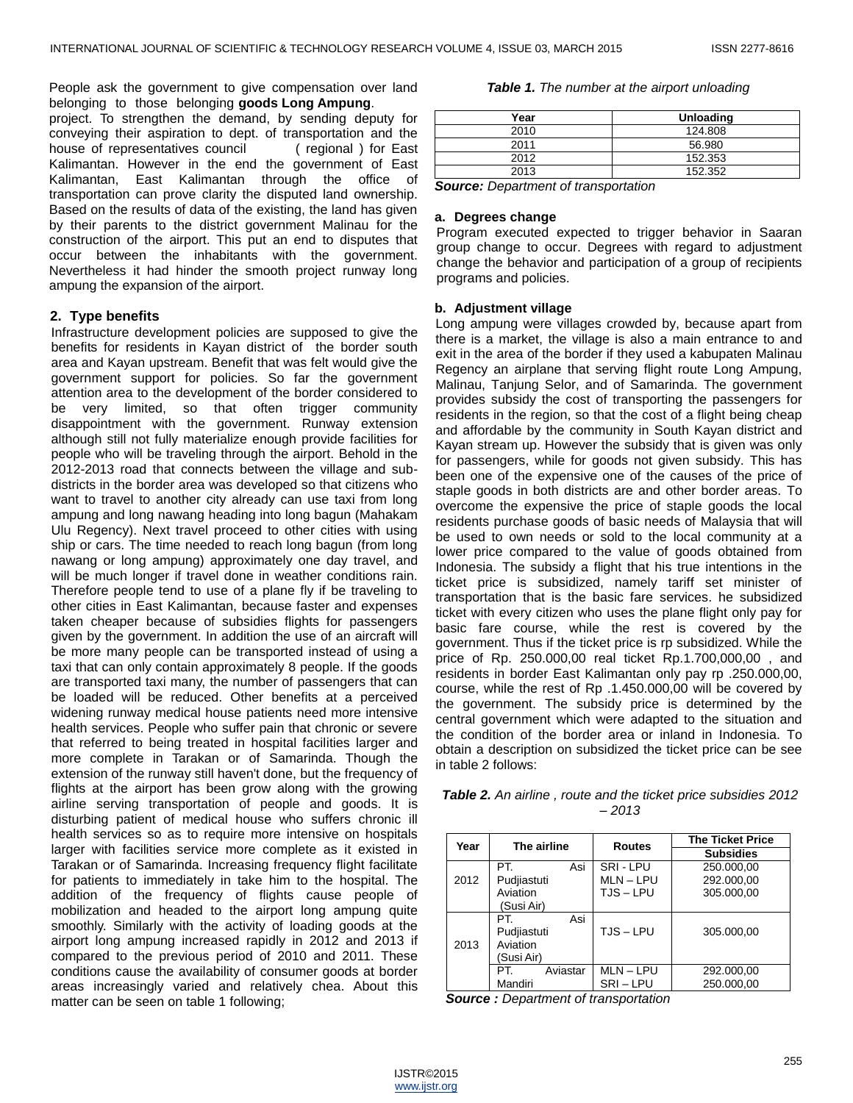People ask the government to give compensation over land belonging to those belonging goods Long Ampung.

project. To strengthen the demand, by sending deputy for conveying their aspiration to dept. of transportation and the house of representatives council ( regional ) for East Kalimantan. However in the end the government of East Kalimantan, East Kalimantan through the office of transportation can prove clarity the disputed land ownership. Based on the results of data of the existing, the land has given by their parents to the district government Malinau for the construction of the airport. This put an end to disputes that occur between the inhabitants with the government. Nevertheless it had hinder the smooth project runway long ampung the expansion of the airport.

## **2. Type benefits**

Infrastructure development policies are supposed to give the benefits for residents in Kayan district of the border south area and Kayan upstream. Benefit that was felt would give the government support for policies. So far the government attention area to the development of the border considered to be very limited, so that often trigger community disappointment with the government. Runway extension although still not fully materialize enough provide facilities for people who will be traveling through the airport. Behold in the 2012-2013 road that connects between the village and subdistricts in the border area was developed so that citizens who want to travel to another city already can use taxi from long ampung and long nawang heading into long bagun (Mahakam Ulu Regency). Next travel proceed to other cities with using ship or cars. The time needed to reach long bagun (from long nawang or long ampung) approximately one day travel, and will be much longer if travel done in weather conditions rain. Therefore people tend to use of a plane fly if be traveling to other cities in East Kalimantan, because faster and expenses taken cheaper because of subsidies flights for passengers given by the government. In addition the use of an aircraft will be more many people can be transported instead of using a taxi that can only contain approximately 8 people. If the goods are transported taxi many, the number of passengers that can be loaded will be reduced. Other benefits at a perceived widening runway medical house patients need more intensive health services. People who suffer pain that chronic or severe that referred to being treated in hospital facilities larger and more complete in Tarakan or of Samarinda. Though the extension of the runway still haven't done, but the frequency of flights at the airport has been grow along with the growing airline serving transportation of people and goods. It is disturbing patient of medical house who suffers chronic ill health services so as to require more intensive on hospitals larger with facilities service more complete as it existed in Tarakan or of Samarinda. Increasing frequency flight facilitate for patients to immediately in take him to the hospital. The addition of the frequency of flights cause people of mobilization and headed to the airport long ampung quite smoothly. Similarly with the activity of loading goods at the airport long ampung increased rapidly in 2012 and 2013 if compared to the previous period of 2010 and 2011. These conditions cause the availability of consumer goods at border areas increasingly varied and relatively chea. About this matter can be seen on table 1 following;

#### *Table 1. The number at the airport unloading*

| Year                                                                              | <b>Unloading</b>     |
|-----------------------------------------------------------------------------------|----------------------|
| 2010                                                                              | 124.808              |
| 2011                                                                              | 56.980               |
| 2012                                                                              | 152.353              |
| 2013                                                                              | 152.352              |
| -<br>$\sim$ $\sim$<br>$\overline{\phantom{0}}$<br>the contract of the contract of | $\sim$ $\sim$ $\sim$ |

*Source: Department of transportation*

#### **a. Degrees change**

Program executed expected to trigger behavior in Saaran group change to occur. Degrees with regard to adjustment change the behavior and participation of a group of recipients programs and policies.

#### **b. Adjustment village**

Long ampung were villages crowded by, because apart from there is a market, the village is also a main entrance to and exit in the area of the border if they used a kabupaten Malinau Regency an airplane that serving flight route Long Ampung, Malinau, Tanjung Selor, and of Samarinda. The government provides subsidy the cost of transporting the passengers for residents in the region, so that the cost of a flight being cheap and affordable by the community in South Kayan district and Kayan stream up. However the subsidy that is given was only for passengers, while for goods not given subsidy. This has been one of the expensive one of the causes of the price of staple goods in both districts are and other border areas. To overcome the expensive the price of staple goods the local residents purchase goods of basic needs of Malaysia that will be used to own needs or sold to the local community at a lower price compared to the value of goods obtained from Indonesia. The subsidy a flight that his true intentions in the ticket price is subsidized, namely tariff set minister of transportation that is the basic fare services. he subsidized ticket with every citizen who uses the plane flight only pay for basic fare course, while the rest is covered by the government. Thus if the ticket price is rp subsidized. While the price of Rp. 250.000,00 real ticket Rp.1.700,000,00 , and residents in border East Kalimantan only pay rp .250.000,00, course, while the rest of Rp .1.450.000,00 will be covered by the government. The subsidy price is determined by the central government which were adapted to the situation and the condition of the border area or inland in Indonesia. To obtain a description on subsidized the ticket price can be see in table 2 follows:

| <b>Table 2.</b> An airline, route and the ticket price subsidies 2012 |         |  |  |
|-----------------------------------------------------------------------|---------|--|--|
|                                                                       | $-2013$ |  |  |

| Year | The airline     | <b>Routes</b> | <b>The Ticket Price</b> |  |  |
|------|-----------------|---------------|-------------------------|--|--|
|      |                 |               | <b>Subsidies</b>        |  |  |
|      | PT.<br>Asi      | SRI-LPU       | 250.000,00              |  |  |
| 2012 | Pudjiastuti     | MLN-LPU       | 292.000,00              |  |  |
|      | Aviation        | TJS-LPU       | 305.000,00              |  |  |
|      | (Susi Air)      |               |                         |  |  |
|      | Asi<br>PT.      |               |                         |  |  |
|      | Pudjiastuti     | TJS-LPU       | 305.000.00              |  |  |
| 2013 | Aviation        |               |                         |  |  |
|      | (Susi Air)      |               |                         |  |  |
|      | PT.<br>Aviastar | MLN – LPU     | 292.000,00              |  |  |
|      | Mandiri         | SRI-LPU       | 250.000,00              |  |  |

*Source : Department of transportation*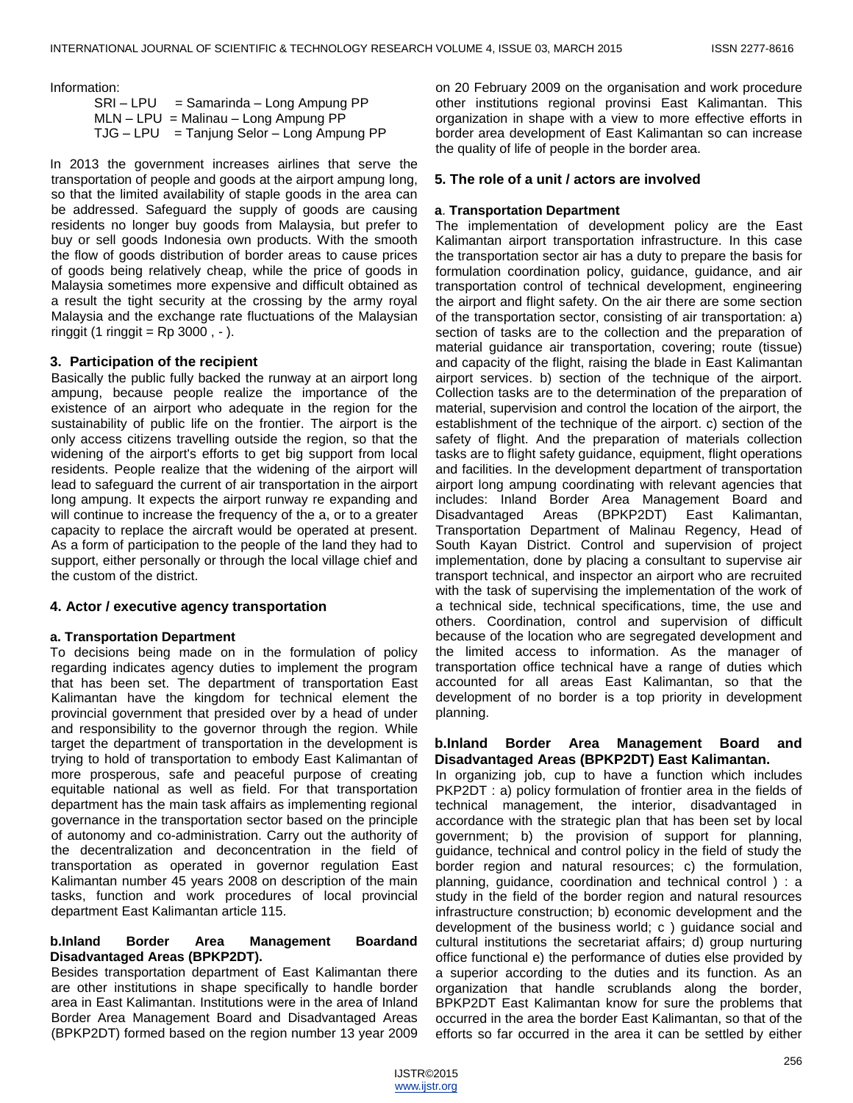Information:

 SRI – LPU = Samarinda – Long Ampung PP MLN – LPU = Malinau – Long Ampung PP  $TJG - LPU = Tanjung Selor - Long Ampung PP$ 

In 2013 the government increases airlines that serve the transportation of people and goods at the airport ampung long, so that the limited availability of staple goods in the area can be addressed. Safeguard the supply of goods are causing residents no longer buy goods from Malaysia, but prefer to buy or sell goods Indonesia own products. With the smooth the flow of goods distribution of border areas to cause prices of goods being relatively cheap, while the price of goods in Malaysia sometimes more expensive and difficult obtained as a result the tight security at the crossing by the army royal Malaysia and the exchange rate fluctuations of the Malaysian ringgit (1 ringgit  $=$  Rp 3000,  $-$ ).

## **3. Participation of the recipient**

Basically the public fully backed the runway at an airport long ampung, because people realize the importance of the existence of an airport who adequate in the region for the sustainability of public life on the frontier. The airport is the only access citizens travelling outside the region, so that the widening of the airport's efforts to get big support from local residents. People realize that the widening of the airport will lead to safeguard the current of air transportation in the airport long ampung. It expects the airport runway re expanding and will continue to increase the frequency of the a, or to a greater capacity to replace the aircraft would be operated at present. As a form of participation to the people of the land they had to support, either personally or through the local village chief and the custom of the district.

## **4. Actor / executive agency transportation**

## **a. Transportation Department**

To decisions being made on in the formulation of policy regarding indicates agency duties to implement the program that has been set. The department of transportation East Kalimantan have the kingdom for technical element the provincial government that presided over by a head of under and responsibility to the governor through the region. While target the department of transportation in the development is trying to hold of transportation to embody East Kalimantan of more prosperous, safe and peaceful purpose of creating equitable national as well as field. For that transportation department has the main task affairs as implementing regional governance in the transportation sector based on the principle of autonomy and co-administration. Carry out the authority of the decentralization and deconcentration in the field of transportation as operated in governor regulation East Kalimantan number 45 years 2008 on description of the main tasks, function and work procedures of local provincial department East Kalimantan article 115.

## **b.Inland Border Area Management Boardand Disadvantaged Areas (BPKP2DT).**

Besides transportation department of East Kalimantan there are other institutions in shape specifically to handle border area in East Kalimantan. Institutions were in the area of Inland Border Area Management Board and Disadvantaged Areas (BPKP2DT) formed based on the region number 13 year 2009

on 20 February 2009 on the organisation and work procedure other institutions regional provinsi East Kalimantan. This organization in shape with a view to more effective efforts in border area development of East Kalimantan so can increase the quality of life of people in the border area.

## **5. The role of a unit / actors are involved**

## **a**. **Transportation Department**

The implementation of development policy are the East Kalimantan airport transportation infrastructure. In this case the transportation sector air has a duty to prepare the basis for formulation coordination policy, guidance, guidance, and air transportation control of technical development, engineering the airport and flight safety. On the air there are some section of the transportation sector, consisting of air transportation: a) section of tasks are to the collection and the preparation of material guidance air transportation, covering; route (tissue) and capacity of the flight, raising the blade in East Kalimantan airport services. b) section of the technique of the airport. Collection tasks are to the determination of the preparation of material, supervision and control the location of the airport, the establishment of the technique of the airport. c) section of the safety of flight. And the preparation of materials collection tasks are to flight safety guidance, equipment, flight operations and facilities. In the development department of transportation airport long ampung coordinating with relevant agencies that includes: Inland Border Area Management Board and Disadvantaged Areas (BPKP2DT) East Kalimantan, Transportation Department of Malinau Regency, Head of South Kayan District. Control and supervision of project implementation, done by placing a consultant to supervise air transport technical, and inspector an airport who are recruited with the task of supervising the implementation of the work of a technical side, technical specifications, time, the use and others. Coordination, control and supervision of difficult because of the location who are segregated development and the limited access to information. As the manager of transportation office technical have a range of duties which accounted for all areas East Kalimantan, so that the development of no border is a top priority in development planning.

## **b.Inland Border Area Management Board and Disadvantaged Areas (BPKP2DT) East Kalimantan.**

In organizing job, cup to have a function which includes PKP2DT : a) policy formulation of frontier area in the fields of technical management, the interior, disadvantaged in accordance with the strategic plan that has been set by local government; b) the provision of support for planning, guidance, technical and control policy in the field of study the border region and natural resources; c) the formulation, planning, guidance, coordination and technical control ) : a study in the field of the border region and natural resources infrastructure construction; b) economic development and the development of the business world; c ) guidance social and cultural institutions the secretariat affairs; d) group nurturing office functional e) the performance of duties else provided by a superior according to the duties and its function. As an organization that handle scrublands along the border, BPKP2DT East Kalimantan know for sure the problems that occurred in the area the border East Kalimantan, so that of the efforts so far occurred in the area it can be settled by either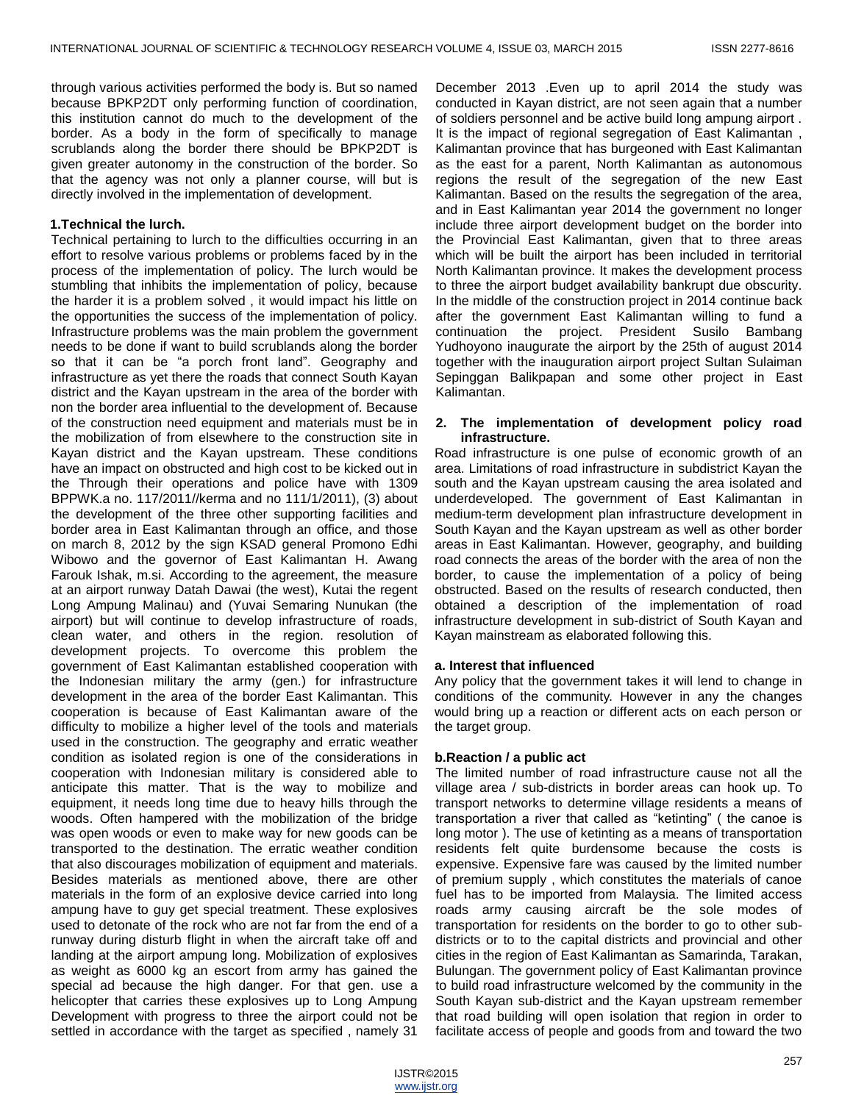through various activities performed the body is. But so named because BPKP2DT only performing function of coordination, this institution cannot do much to the development of the border. As a body in the form of specifically to manage scrublands along the border there should be BPKP2DT is given greater autonomy in the construction of the border. So that the agency was not only a planner course, will but is directly involved in the implementation of development.

#### **1.Technical the lurch.**

Technical pertaining to lurch to the difficulties occurring in an effort to resolve various problems or problems faced by in the process of the implementation of policy. The lurch would be stumbling that inhibits the implementation of policy, because the harder it is a problem solved , it would impact his little on the opportunities the success of the implementation of policy. Infrastructure problems was the main problem the government needs to be done if want to build scrublands along the border so that it can be "a porch front land". Geography and infrastructure as yet there the roads that connect South Kayan district and the Kayan upstream in the area of the border with non the border area influential to the development of. Because of the construction need equipment and materials must be in the mobilization of from elsewhere to the construction site in Kayan district and the Kayan upstream. These conditions have an impact on obstructed and high cost to be kicked out in the Through their operations and police have with 1309 BPPWK.a no. 117/2011//kerma and no 111/1/2011), (3) about the development of the three other supporting facilities and border area in East Kalimantan through an office, and those on march 8, 2012 by the sign KSAD general Promono Edhi Wibowo and the governor of East Kalimantan H. Awang Farouk Ishak, m.si. According to the agreement, the measure at an airport runway Datah Dawai (the west), Kutai the regent Long Ampung Malinau) and (Yuvai Semaring Nunukan (the airport) but will continue to develop infrastructure of roads, clean water, and others in the region. resolution of development projects. To overcome this problem the government of East Kalimantan established cooperation with the Indonesian military the army (gen.) for infrastructure development in the area of the border East Kalimantan. This cooperation is because of East Kalimantan aware of the difficulty to mobilize a higher level of the tools and materials used in the construction. The geography and erratic weather condition as isolated region is one of the considerations in cooperation with Indonesian military is considered able to anticipate this matter. That is the way to mobilize and equipment, it needs long time due to heavy hills through the woods. Often hampered with the mobilization of the bridge was open woods or even to make way for new goods can be transported to the destination. The erratic weather condition that also discourages mobilization of equipment and materials. Besides materials as mentioned above, there are other materials in the form of an explosive device carried into long ampung have to guy get special treatment. These explosives used to detonate of the rock who are not far from the end of a runway during disturb flight in when the aircraft take off and landing at the airport ampung long. Mobilization of explosives as weight as 6000 kg an escort from army has gained the special ad because the high danger. For that gen. use a helicopter that carries these explosives up to Long Ampung Development with progress to three the airport could not be settled in accordance with the target as specified , namely 31

December 2013 .Even up to april 2014 the study was conducted in Kayan district, are not seen again that a number of soldiers personnel and be active build long ampung airport . It is the impact of regional segregation of East Kalimantan , Kalimantan province that has burgeoned with East Kalimantan as the east for a parent, North Kalimantan as autonomous regions the result of the segregation of the new East Kalimantan. Based on the results the segregation of the area, and in East Kalimantan year 2014 the government no longer include three airport development budget on the border into the Provincial East Kalimantan, given that to three areas which will be built the airport has been included in territorial North Kalimantan province. It makes the development process to three the airport budget availability bankrupt due obscurity. In the middle of the construction project in 2014 continue back after the government East Kalimantan willing to fund a continuation the project. President Susilo Bambang Yudhoyono inaugurate the airport by the 25th of august 2014 together with the inauguration airport project Sultan Sulaiman Sepinggan Balikpapan and some other project in East Kalimantan.

## **2. The implementation of development policy road infrastructure.**

Road infrastructure is one pulse of economic growth of an area. Limitations of road infrastructure in subdistrict Kayan the south and the Kayan upstream causing the area isolated and underdeveloped. The government of East Kalimantan in medium-term development plan infrastructure development in South Kayan and the Kayan upstream as well as other border areas in East Kalimantan. However, geography, and building road connects the areas of the border with the area of non the border, to cause the implementation of a policy of being obstructed. Based on the results of research conducted, then obtained a description of the implementation of road infrastructure development in sub-district of South Kayan and Kayan mainstream as elaborated following this.

## **a. Interest that influenced**

Any policy that the government takes it will lend to change in conditions of the community. However in any the changes would bring up a reaction or different acts on each person or the target group.

## **b.Reaction / a public act**

The limited number of road infrastructure cause not all the village area / sub-districts in border areas can hook up. To transport networks to determine village residents a means of transportation a river that called as "ketinting" (the canoe is long motor ). The use of ketinting as a means of transportation residents felt quite burdensome because the costs is expensive. Expensive fare was caused by the limited number of premium supply , which constitutes the materials of canoe fuel has to be imported from Malaysia. The limited access roads army causing aircraft be the sole modes of transportation for residents on the border to go to other subdistricts or to to the capital districts and provincial and other cities in the region of East Kalimantan as Samarinda, Tarakan, Bulungan. The government policy of East Kalimantan province to build road infrastructure welcomed by the community in the South Kayan sub-district and the Kayan upstream remember that road building will open isolation that region in order to facilitate access of people and goods from and toward the two

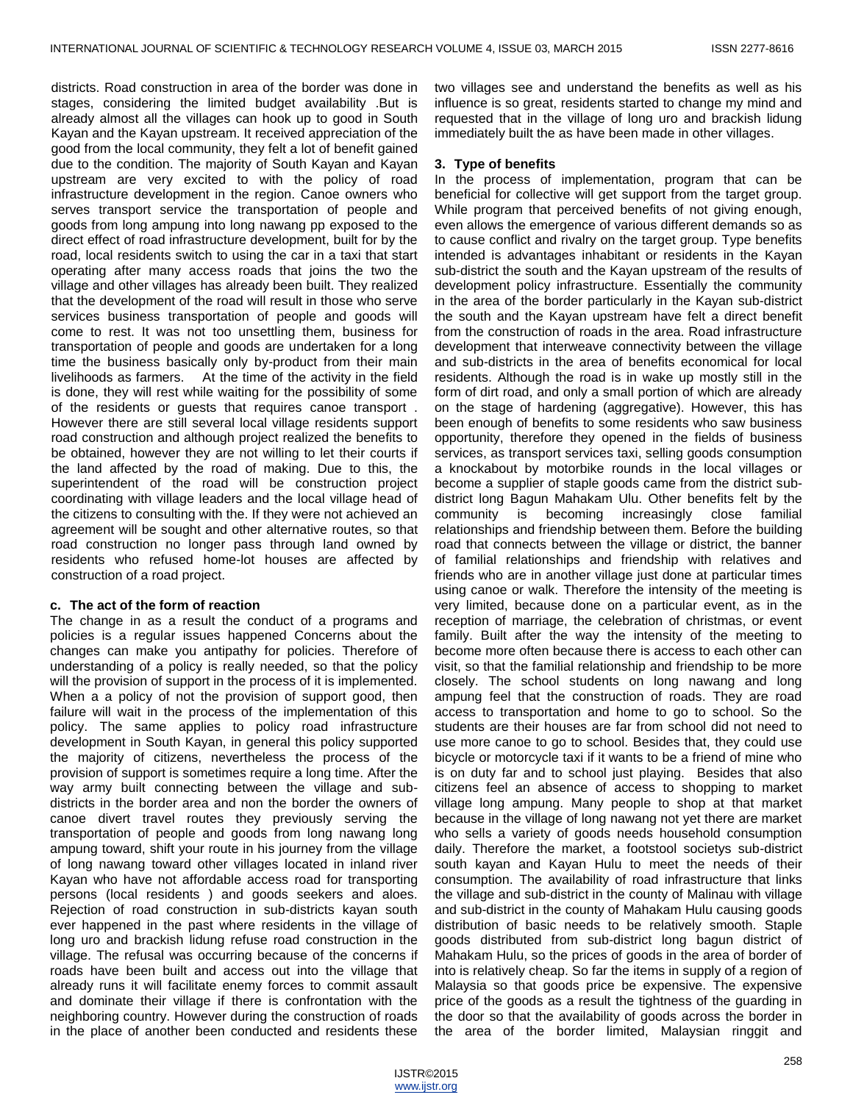districts. Road construction in area of the border was done in stages, considering the limited budget availability .But is already almost all the villages can hook up to good in South Kayan and the Kayan upstream. It received appreciation of the good from the local community, they felt a lot of benefit gained due to the condition. The majority of South Kayan and Kayan upstream are very excited to with the policy of road infrastructure development in the region. Canoe owners who serves transport service the transportation of people and goods from long ampung into long nawang pp exposed to the direct effect of road infrastructure development, built for by the road, local residents switch to using the car in a taxi that start operating after many access roads that joins the two the village and other villages has already been built. They realized that the development of the road will result in those who serve services business transportation of people and goods will come to rest. It was not too unsettling them, business for transportation of people and goods are undertaken for a long time the business basically only by-product from their main livelihoods as farmers. At the time of the activity in the field is done, they will rest while waiting for the possibility of some of the residents or guests that requires canoe transport . However there are still several local village residents support road construction and although project realized the benefits to be obtained, however they are not willing to let their courts if the land affected by the road of making. Due to this, the superintendent of the road will be construction project coordinating with village leaders and the local village head of the citizens to consulting with the. If they were not achieved an agreement will be sought and other alternative routes, so that road construction no longer pass through land owned by residents who refused home-lot houses are affected by construction of a road project.

## **c. The act of the form of reaction**

The change in as a result the conduct of a programs and policies is a regular issues happened Concerns about the changes can make you antipathy for policies. Therefore of understanding of a policy is really needed, so that the policy will the provision of support in the process of it is implemented. When a a policy of not the provision of support good, then failure will wait in the process of the implementation of this policy. The same applies to policy road infrastructure development in South Kayan, in general this policy supported the majority of citizens, nevertheless the process of the provision of support is sometimes require a long time. After the way army built connecting between the village and subdistricts in the border area and non the border the owners of canoe divert travel routes they previously serving the transportation of people and goods from long nawang long ampung toward, shift your route in his journey from the village of long nawang toward other villages located in inland river Kayan who have not affordable access road for transporting persons (local residents ) and goods seekers and aloes. Rejection of road construction in sub-districts kayan south ever happened in the past where residents in the village of long uro and brackish lidung refuse road construction in the village. The refusal was occurring because of the concerns if roads have been built and access out into the village that already runs it will facilitate enemy forces to commit assault and dominate their village if there is confrontation with the neighboring country. However during the construction of roads in the place of another been conducted and residents these

two villages see and understand the benefits as well as his influence is so great, residents started to change my mind and requested that in the village of long uro and brackish lidung immediately built the as have been made in other villages.

#### **3. Type of benefits**

In the process of implementation, program that can be beneficial for collective will get support from the target group. While program that perceived benefits of not giving enough, even allows the emergence of various different demands so as to cause conflict and rivalry on the target group. Type benefits intended is advantages inhabitant or residents in the Kayan sub-district the south and the Kayan upstream of the results of development policy infrastructure. Essentially the community in the area of the border particularly in the Kayan sub-district the south and the Kayan upstream have felt a direct benefit from the construction of roads in the area. Road infrastructure development that interweave connectivity between the village and sub-districts in the area of benefits economical for local residents. Although the road is in wake up mostly still in the form of dirt road, and only a small portion of which are already on the stage of hardening (aggregative). However, this has been enough of benefits to some residents who saw business opportunity, therefore they opened in the fields of business services, as transport services taxi, selling goods consumption a knockabout by motorbike rounds in the local villages or become a supplier of staple goods came from the district subdistrict long Bagun Mahakam Ulu. Other benefits felt by the community is becoming increasingly close familial relationships and friendship between them. Before the building road that connects between the village or district, the banner of familial relationships and friendship with relatives and friends who are in another village just done at particular times using canoe or walk. Therefore the intensity of the meeting is very limited, because done on a particular event, as in the reception of marriage, the celebration of christmas, or event family. Built after the way the intensity of the meeting to become more often because there is access to each other can visit, so that the familial relationship and friendship to be more closely. The school students on long nawang and long ampung feel that the construction of roads. They are road access to transportation and home to go to school. So the students are their houses are far from school did not need to use more canoe to go to school. Besides that, they could use bicycle or motorcycle taxi if it wants to be a friend of mine who is on duty far and to school just playing. Besides that also citizens feel an absence of access to shopping to market village long ampung. Many people to shop at that market because in the village of long nawang not yet there are market who sells a variety of goods needs household consumption daily. Therefore the market, a footstool societys sub-district south kayan and Kayan Hulu to meet the needs of their consumption. The availability of road infrastructure that links the village and sub-district in the county of Malinau with village and sub-district in the county of Mahakam Hulu causing goods distribution of basic needs to be relatively smooth. Staple goods distributed from sub-district long bagun district of Mahakam Hulu, so the prices of goods in the area of border of into is relatively cheap. So far the items in supply of a region of Malaysia so that goods price be expensive. The expensive price of the goods as a result the tightness of the guarding in the door so that the availability of goods across the border in the area of the border limited, Malaysian ringgit and

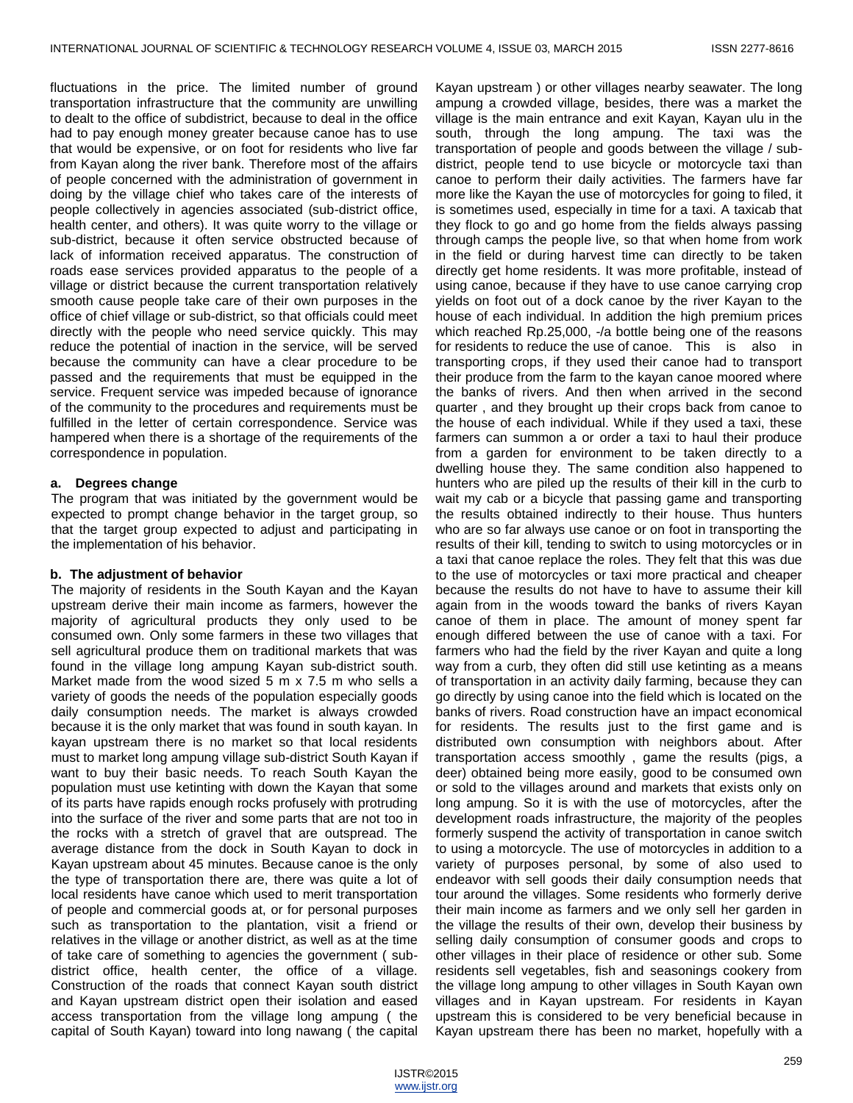fluctuations in the price. The limited number of ground transportation infrastructure that the community are unwilling to dealt to the office of subdistrict, because to deal in the office had to pay enough money greater because canoe has to use that would be expensive, or on foot for residents who live far from Kayan along the river bank. Therefore most of the affairs of people concerned with the administration of government in doing by the village chief who takes care of the interests of people collectively in agencies associated (sub-district office, health center, and others). It was quite worry to the village or sub-district, because it often service obstructed because of lack of information received apparatus. The construction of roads ease services provided apparatus to the people of a village or district because the current transportation relatively smooth cause people take care of their own purposes in the office of chief village or sub-district, so that officials could meet directly with the people who need service quickly. This may reduce the potential of inaction in the service, will be served because the community can have a clear procedure to be passed and the requirements that must be equipped in the service. Frequent service was impeded because of ignorance of the community to the procedures and requirements must be fulfilled in the letter of certain correspondence. Service was hampered when there is a shortage of the requirements of the correspondence in population.

## **a. Degrees change**

The program that was initiated by the government would be expected to prompt change behavior in the target group, so that the target group expected to adjust and participating in the implementation of his behavior.

## **b. The adjustment of behavior**

The majority of residents in the South Kayan and the Kayan upstream derive their main income as farmers, however the majority of agricultural products they only used to be consumed own. Only some farmers in these two villages that sell agricultural produce them on traditional markets that was found in the village long ampung Kayan sub-district south. Market made from the wood sized 5 m x 7.5 m who sells a variety of goods the needs of the population especially goods daily consumption needs. The market is always crowded because it is the only market that was found in south kayan. In kayan upstream there is no market so that local residents must to market long ampung village sub-district South Kayan if want to buy their basic needs. To reach South Kayan the population must use ketinting with down the Kayan that some of its parts have rapids enough rocks profusely with protruding into the surface of the river and some parts that are not too in the rocks with a stretch of gravel that are outspread. The average distance from the dock in South Kayan to dock in Kayan upstream about 45 minutes. Because canoe is the only the type of transportation there are, there was quite a lot of local residents have canoe which used to merit transportation of people and commercial goods at, or for personal purposes such as transportation to the plantation, visit a friend or relatives in the village or another district, as well as at the time of take care of something to agencies the government ( subdistrict office, health center, the office of a village. Construction of the roads that connect Kayan south district and Kayan upstream district open their isolation and eased access transportation from the village long ampung ( the capital of South Kayan) toward into long nawang ( the capital

Kayan upstream ) or other villages nearby seawater. The long ampung a crowded village, besides, there was a market the village is the main entrance and exit Kayan, Kayan ulu in the south, through the long ampung. The taxi was the transportation of people and goods between the village / subdistrict, people tend to use bicycle or motorcycle taxi than canoe to perform their daily activities. The farmers have far more like the Kayan the use of motorcycles for going to filed, it is sometimes used, especially in time for a taxi. A taxicab that they flock to go and go home from the fields always passing through camps the people live, so that when home from work in the field or during harvest time can directly to be taken directly get home residents. It was more profitable, instead of using canoe, because if they have to use canoe carrying crop yields on foot out of a dock canoe by the river Kayan to the house of each individual. In addition the high premium prices which reached Rp.25,000, -/a bottle being one of the reasons for residents to reduce the use of canoe. This is also in transporting crops, if they used their canoe had to transport their produce from the farm to the kayan canoe moored where the banks of rivers. And then when arrived in the second quarter , and they brought up their crops back from canoe to the house of each individual. While if they used a taxi, these farmers can summon a or order a taxi to haul their produce from a garden for environment to be taken directly to a dwelling house they. The same condition also happened to hunters who are piled up the results of their kill in the curb to wait my cab or a bicycle that passing game and transporting the results obtained indirectly to their house. Thus hunters who are so far always use canoe or on foot in transporting the results of their kill, tending to switch to using motorcycles or in a taxi that canoe replace the roles. They felt that this was due to the use of motorcycles or taxi more practical and cheaper because the results do not have to have to assume their kill again from in the woods toward the banks of rivers Kayan canoe of them in place. The amount of money spent far enough differed between the use of canoe with a taxi. For farmers who had the field by the river Kayan and quite a long way from a curb, they often did still use ketinting as a means of transportation in an activity daily farming, because they can go directly by using canoe into the field which is located on the banks of rivers. Road construction have an impact economical for residents. The results just to the first game and is distributed own consumption with neighbors about. After transportation access smoothly , game the results (pigs, a deer) obtained being more easily, good to be consumed own or sold to the villages around and markets that exists only on long ampung. So it is with the use of motorcycles, after the development roads infrastructure, the majority of the peoples formerly suspend the activity of transportation in canoe switch to using a motorcycle. The use of motorcycles in addition to a variety of purposes personal, by some of also used to endeavor with sell goods their daily consumption needs that tour around the villages. Some residents who formerly derive their main income as farmers and we only sell her garden in the village the results of their own, develop their business by selling daily consumption of consumer goods and crops to other villages in their place of residence or other sub. Some residents sell vegetables, fish and seasonings cookery from the village long ampung to other villages in South Kayan own villages and in Kayan upstream. For residents in Kayan upstream this is considered to be very beneficial because in Kayan upstream there has been no market, hopefully with a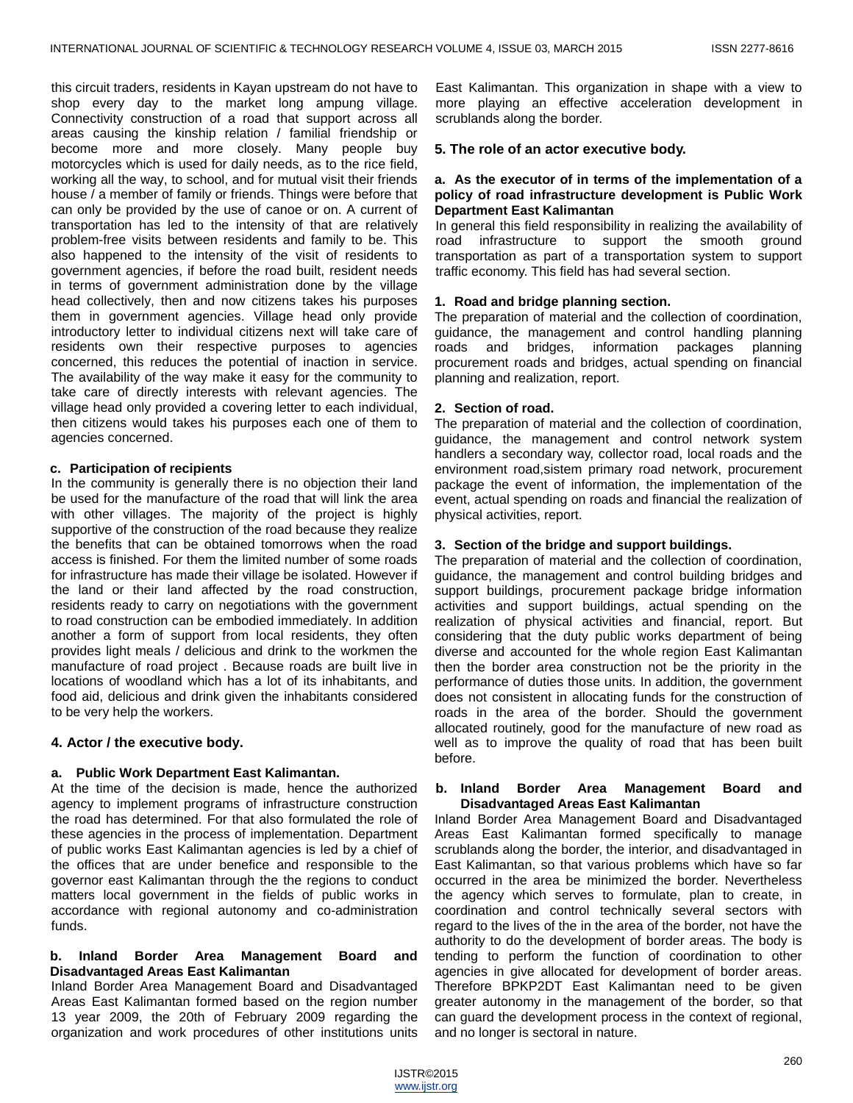this circuit traders, residents in Kayan upstream do not have to shop every day to the market long ampung village. Connectivity construction of a road that support across all areas causing the kinship relation / familial friendship or become more and more closely. Many people buy motorcycles which is used for daily needs, as to the rice field, working all the way, to school, and for mutual visit their friends house / a member of family or friends. Things were before that can only be provided by the use of canoe or on. A current of transportation has led to the intensity of that are relatively problem-free visits between residents and family to be. This also happened to the intensity of the visit of residents to government agencies, if before the road built, resident needs in terms of government administration done by the village head collectively, then and now citizens takes his purposes them in government agencies. Village head only provide introductory letter to individual citizens next will take care of residents own their respective purposes to agencies concerned, this reduces the potential of inaction in service. The availability of the way make it easy for the community to take care of directly interests with relevant agencies. The village head only provided a covering letter to each individual, then citizens would takes his purposes each one of them to agencies concerned.

## **c. Participation of recipients**

In the community is generally there is no objection their land be used for the manufacture of the road that will link the area with other villages. The majority of the project is highly supportive of the construction of the road because they realize the benefits that can be obtained tomorrows when the road access is finished. For them the limited number of some roads for infrastructure has made their village be isolated. However if the land or their land affected by the road construction, residents ready to carry on negotiations with the government to road construction can be embodied immediately. In addition another a form of support from local residents, they often provides light meals / delicious and drink to the workmen the manufacture of road project . Because roads are built live in locations of woodland which has a lot of its inhabitants, and food aid, delicious and drink given the inhabitants considered to be very help the workers.

## **4. Actor / the executive body.**

## **a. Public Work Department East Kalimantan.**

At the time of the decision is made, hence the authorized agency to implement programs of infrastructure construction the road has determined. For that also formulated the role of these agencies in the process of implementation. Department of public works East Kalimantan agencies is led by a chief of the offices that are under benefice and responsible to the governor east Kalimantan through the the regions to conduct matters local government in the fields of public works in accordance with regional autonomy and co-administration funds.

## **b. Inland Border Area Management Board and Disadvantaged Areas East Kalimantan**

Inland Border Area Management Board and Disadvantaged Areas East Kalimantan formed based on the region number 13 year 2009, the 20th of February 2009 regarding the organization and work procedures of other institutions units

East Kalimantan. This organization in shape with a view to more playing an effective acceleration development in scrublands along the border.

## **5. The role of an actor executive body.**

## **a. As the executor of in terms of the implementation of a policy of road infrastructure development is Public Work Department East Kalimantan**

In general this field responsibility in realizing the availability of road infrastructure to support the smooth ground transportation as part of a transportation system to support traffic economy. This field has had several section.

## **1. Road and bridge planning section.**

The preparation of material and the collection of coordination, guidance, the management and control handling planning roads and bridges, information packages planning procurement roads and bridges, actual spending on financial planning and realization, report.

## **2. Section of road.**

The preparation of material and the collection of coordination, guidance, the management and control network system handlers a secondary way, collector road, local roads and the environment road,sistem primary road network, procurement package the event of information, the implementation of the event, actual spending on roads and financial the realization of physical activities, report.

## **3. Section of the bridge and support buildings.**

The preparation of material and the collection of coordination, guidance, the management and control building bridges and support buildings, procurement package bridge information activities and support buildings, actual spending on the realization of physical activities and financial, report. But considering that the duty public works department of being diverse and accounted for the whole region East Kalimantan then the border area construction not be the priority in the performance of duties those units. In addition, the government does not consistent in allocating funds for the construction of roads in the area of the border. Should the government allocated routinely, good for the manufacture of new road as well as to improve the quality of road that has been built before.

#### **b. Inland Border Area Management Board and Disadvantaged Areas East Kalimantan**

Inland Border Area Management Board and Disadvantaged Areas East Kalimantan formed specifically to manage scrublands along the border, the interior, and disadvantaged in East Kalimantan, so that various problems which have so far occurred in the area be minimized the border. Nevertheless the agency which serves to formulate, plan to create, in coordination and control technically several sectors with regard to the lives of the in the area of the border, not have the authority to do the development of border areas. The body is tending to perform the function of coordination to other agencies in give allocated for development of border areas. Therefore BPKP2DT East Kalimantan need to be given greater autonomy in the management of the border, so that can guard the development process in the context of regional, and no longer is sectoral in nature.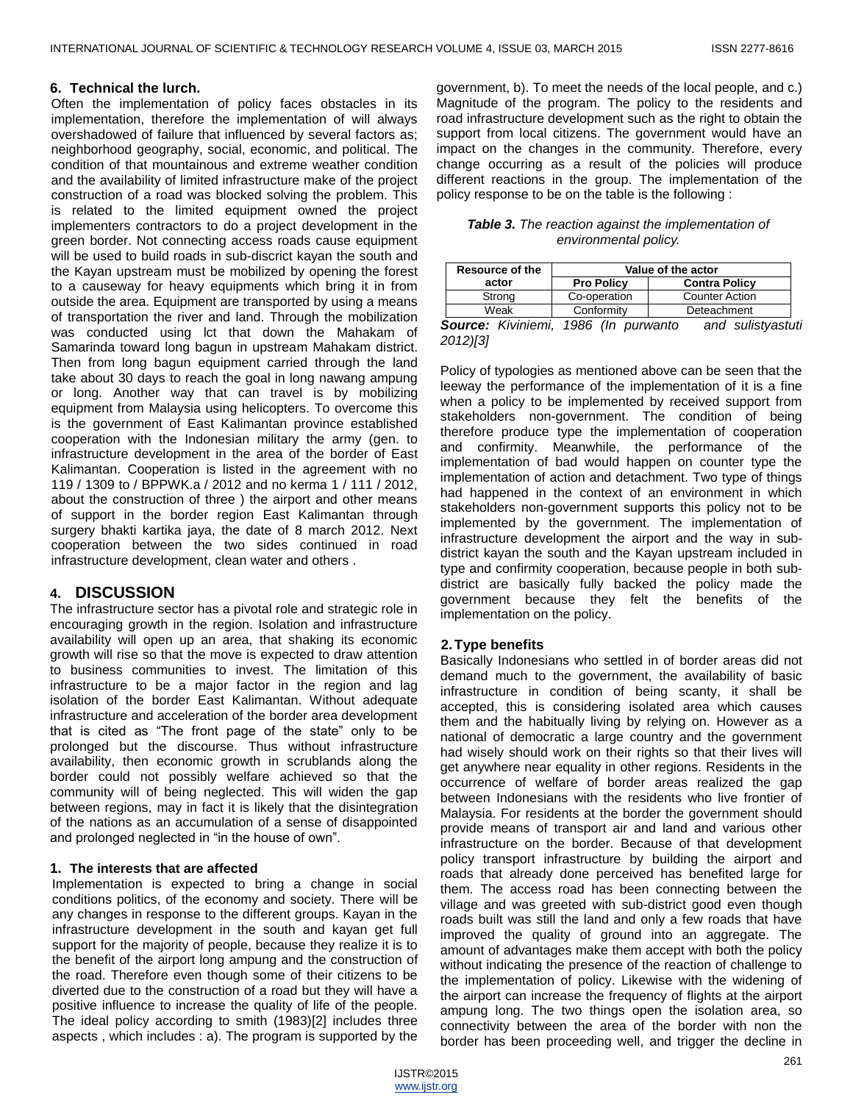## **6. Technical the lurch.**

Often the implementation of policy faces obstacles in its implementation, therefore the implementation of will always overshadowed of failure that influenced by several factors as; neighborhood geography, social, economic, and political. The condition of that mountainous and extreme weather condition and the availability of limited infrastructure make of the project construction of a road was blocked solving the problem. This is related to the limited equipment owned the project implementers contractors to do a project development in the green border. Not connecting access roads cause equipment will be used to build roads in sub-discrict kayan the south and the Kayan upstream must be mobilized by opening the forest to a causeway for heavy equipments which bring it in from outside the area. Equipment are transported by using a means of transportation the river and land. Through the mobilization was conducted using lct that down the Mahakam of Samarinda toward long bagun in upstream Mahakam district. Then from long bagun equipment carried through the land take about 30 days to reach the goal in long nawang ampung or long. Another way that can travel is by mobilizing equipment from Malaysia using helicopters. To overcome this is the government of East Kalimantan province established cooperation with the Indonesian military the army (gen. to infrastructure development in the area of the border of East Kalimantan. Cooperation is listed in the agreement with no 119 / 1309 to / BPPWK.a / 2012 and no kerma 1 / 111 / 2012, about the construction of three ) the airport and other means of support in the border region East Kalimantan through surgery bhakti kartika jaya, the date of 8 march 2012. Next cooperation between the two sides continued in road infrastructure development, clean water and others .

## **4. DISCUSSION**

The infrastructure sector has a pivotal role and strategic role in encouraging growth in the region. Isolation and infrastructure availability will open up an area, that shaking its economic growth will rise so that the move is expected to draw attention to business communities to invest. The limitation of this infrastructure to be a major factor in the region and lag isolation of the border East Kalimantan. Without adequate infrastructure and acceleration of the border area development that is cited as "The front page of the state" only to be prolonged but the discourse. Thus without infrastructure availability, then economic growth in scrublands along the border could not possibly welfare achieved so that the community will of being neglected. This will widen the gap between regions, may in fact it is likely that the disintegration of the nations as an accumulation of a sense of disappointed and prolonged neglected in "in the house of own".

## **1. The interests that are affected**

Implementation is expected to bring a change in social conditions politics, of the economy and society. There will be any changes in response to the different groups. Kayan in the infrastructure development in the south and kayan get full support for the majority of people, because they realize it is to the benefit of the airport long ampung and the construction of the road. Therefore even though some of their citizens to be diverted due to the construction of a road but they will have a positive influence to increase the quality of life of the people. The ideal policy according to smith (1983)[2] includes three aspects , which includes : a). The program is supported by the

government, b). To meet the needs of the local people, and c.) Magnitude of the program. The policy to the residents and road infrastructure development such as the right to obtain the support from local citizens. The government would have an impact on the changes in the community. Therefore, every change occurring as a result of the policies will produce different reactions in the group. The implementation of the policy response to be on the table is the following :

*Table 3. The reaction against the implementation of environmental policy.*

| Resource of the            | Value of the actor |                       |  |  |
|----------------------------|--------------------|-----------------------|--|--|
| actor                      | <b>Pro Policy</b>  | <b>Contra Policy</b>  |  |  |
| Strong                     | Co-operation       | <b>Counter Action</b> |  |  |
| Weak                       | Conformity         | Deteachment           |  |  |
| <b>Source: K</b> iviniemi. | (In purwanto       | and sulistvastut      |  |  |

*Source: Kiviniemi, 1986 (In purwanto and sulistyastuti 2012)[3]*

Policy of typologies as mentioned above can be seen that the leeway the performance of the implementation of it is a fine when a policy to be implemented by received support from stakeholders non-government. The condition of being therefore produce type the implementation of cooperation and confirmity. Meanwhile, the performance of the implementation of bad would happen on counter type the implementation of action and detachment. Two type of things had happened in the context of an environment in which stakeholders non-government supports this policy not to be implemented by the government. The implementation of infrastructure development the airport and the way in subdistrict kayan the south and the Kayan upstream included in type and confirmity cooperation, because people in both subdistrict are basically fully backed the policy made the government because they felt the benefits of the implementation on the policy.

## **2.Type benefits**

Basically Indonesians who settled in of border areas did not demand much to the government, the availability of basic infrastructure in condition of being scanty, it shall be accepted, this is considering isolated area which causes them and the habitually living by relying on. However as a national of democratic a large country and the government had wisely should work on their rights so that their lives will get anywhere near equality in other regions. Residents in the occurrence of welfare of border areas realized the gap between Indonesians with the residents who live frontier of Malaysia. For residents at the border the government should provide means of transport air and land and various other infrastructure on the border. Because of that development policy transport infrastructure by building the airport and roads that already done perceived has benefited large for them. The access road has been connecting between the village and was greeted with sub-district good even though roads built was still the land and only a few roads that have improved the quality of ground into an aggregate. The amount of advantages make them accept with both the policy without indicating the presence of the reaction of challenge to the implementation of policy. Likewise with the widening of the airport can increase the frequency of flights at the airport ampung long. The two things open the isolation area, so connectivity between the area of the border with non the border has been proceeding well, and trigger the decline in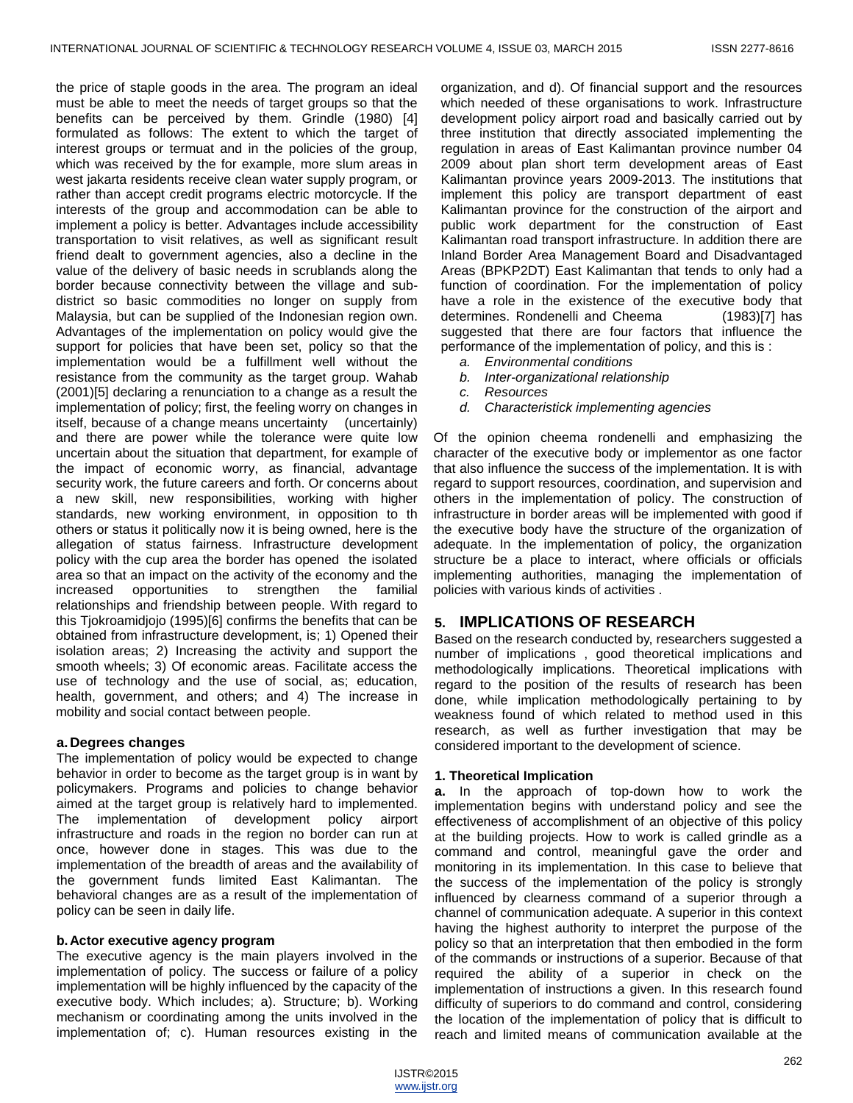the price of staple goods in the area. The program an ideal must be able to meet the needs of target groups so that the benefits can be perceived by them. Grindle (1980) [4] formulated as follows: The extent to which the target of interest groups or termuat and in the policies of the group, which was received by the for example, more slum areas in west jakarta residents receive clean water supply program, or rather than accept credit programs electric motorcycle. If the interests of the group and accommodation can be able to implement a policy is better. Advantages include accessibility transportation to visit relatives, as well as significant result friend dealt to government agencies, also a decline in the value of the delivery of basic needs in scrublands along the border because connectivity between the village and subdistrict so basic commodities no longer on supply from Malaysia, but can be supplied of the Indonesian region own. Advantages of the implementation on policy would give the support for policies that have been set, policy so that the implementation would be a fulfillment well without the resistance from the community as the target group. Wahab (2001)[5] declaring a renunciation to a change as a result the implementation of policy; first, the feeling worry on changes in itself, because of a change means uncertainty (uncertainly) and there are power while the tolerance were quite low uncertain about the situation that department, for example of the impact of economic worry, as financial, advantage security work, the future careers and forth. Or concerns about a new skill, new responsibilities, working with higher standards, new working environment, in opposition to th others or status it politically now it is being owned, here is the allegation of status fairness. Infrastructure development policy with the cup area the border has opened the isolated area so that an impact on the activity of the economy and the increased opportunities to strengthen the familial relationships and friendship between people. With regard to this Tjokroamidjojo (1995)[6] confirms the benefits that can be obtained from infrastructure development, is; 1) Opened their isolation areas; 2) Increasing the activity and support the smooth wheels; 3) Of economic areas. Facilitate access the use of technology and the use of social, as; education, health, government, and others; and 4) The increase in mobility and social contact between people.

## **a.Degrees changes**

The implementation of policy would be expected to change behavior in order to become as the target group is in want by policymakers. Programs and policies to change behavior aimed at the target group is relatively hard to implemented. The implementation of development policy airport infrastructure and roads in the region no border can run at once, however done in stages. This was due to the implementation of the breadth of areas and the availability of the government funds limited East Kalimantan. The behavioral changes are as a result of the implementation of policy can be seen in daily life.

## **b.Actor executive agency program**

The executive agency is the main players involved in the implementation of policy. The success or failure of a policy implementation will be highly influenced by the capacity of the executive body. Which includes; a). Structure; b). Working mechanism or coordinating among the units involved in the implementation of; c). Human resources existing in the

organization, and d). Of financial support and the resources which needed of these organisations to work. Infrastructure development policy airport road and basically carried out by three institution that directly associated implementing the regulation in areas of East Kalimantan province number 04 2009 about plan short term development areas of East Kalimantan province years 2009-2013. The institutions that implement this policy are transport department of east Kalimantan province for the construction of the airport and public work department for the construction of East Kalimantan road transport infrastructure. In addition there are Inland Border Area Management Board and Disadvantaged Areas (BPKP2DT) East Kalimantan that tends to only had a function of coordination. For the implementation of policy have a role in the existence of the executive body that determines. Rondenelli and Cheema (1983)[7] has suggested that there are four factors that influence the performance of the implementation of policy, and this is :

- *a. Environmental conditions*
- *b. Inter-organizational relationship*
- *c. Resources*
- *d. Characteristick implementing agencies*

Of the opinion cheema rondenelli and emphasizing the character of the executive body or implementor as one factor that also influence the success of the implementation. It is with regard to support resources, coordination, and supervision and others in the implementation of policy. The construction of infrastructure in border areas will be implemented with good if the executive body have the structure of the organization of adequate. In the implementation of policy, the organization structure be a place to interact, where officials or officials implementing authorities, managing the implementation of policies with various kinds of activities .

# **5. IMPLICATIONS OF RESEARCH**

Based on the research conducted by, researchers suggested a number of implications , good theoretical implications and methodologically implications. Theoretical implications with regard to the position of the results of research has been done, while implication methodologically pertaining to by weakness found of which related to method used in this research, as well as further investigation that may be considered important to the development of science.

## **1. Theoretical Implication**

**a.** In the approach of top-down how to work the implementation begins with understand policy and see the effectiveness of accomplishment of an objective of this policy at the building projects. How to work is called grindle as a command and control, meaningful gave the order and monitoring in its implementation. In this case to believe that the success of the implementation of the policy is strongly influenced by clearness command of a superior through a channel of communication adequate. A superior in this context having the highest authority to interpret the purpose of the policy so that an interpretation that then embodied in the form of the commands or instructions of a superior. Because of that required the ability of a superior in check on the implementation of instructions a given. In this research found difficulty of superiors to do command and control, considering the location of the implementation of policy that is difficult to reach and limited means of communication available at the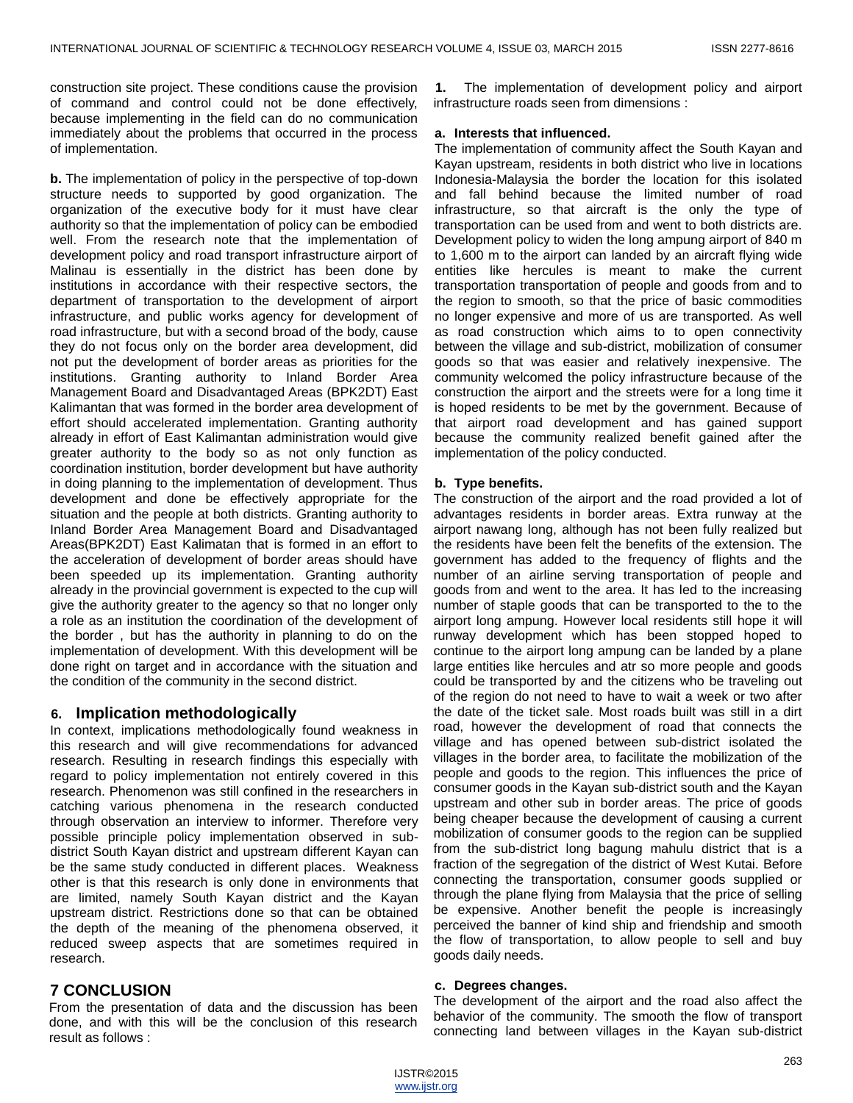construction site project. These conditions cause the provision of command and control could not be done effectively, because implementing in the field can do no communication immediately about the problems that occurred in the process of implementation.

**b.** The implementation of policy in the perspective of top-down structure needs to supported by good organization. The organization of the executive body for it must have clear authority so that the implementation of policy can be embodied well. From the research note that the implementation of development policy and road transport infrastructure airport of Malinau is essentially in the district has been done by institutions in accordance with their respective sectors, the department of transportation to the development of airport infrastructure, and public works agency for development of road infrastructure, but with a second broad of the body, cause they do not focus only on the border area development, did not put the development of border areas as priorities for the institutions. Granting authority to Inland Border Area Management Board and Disadvantaged Areas (BPK2DT) East Kalimantan that was formed in the border area development of effort should accelerated implementation. Granting authority already in effort of East Kalimantan administration would give greater authority to the body so as not only function as coordination institution, border development but have authority in doing planning to the implementation of development. Thus development and done be effectively appropriate for the situation and the people at both districts. Granting authority to Inland Border Area Management Board and Disadvantaged Areas(BPK2DT) East Kalimatan that is formed in an effort to the acceleration of development of border areas should have been speeded up its implementation. Granting authority already in the provincial government is expected to the cup will give the authority greater to the agency so that no longer only a role as an institution the coordination of the development of the border , but has the authority in planning to do on the implementation of development. With this development will be done right on target and in accordance with the situation and the condition of the community in the second district.

## **6. Implication methodologically**

In context, implications methodologically found weakness in this research and will give recommendations for advanced research. Resulting in research findings this especially with regard to policy implementation not entirely covered in this research. Phenomenon was still confined in the researchers in catching various phenomena in the research conducted through observation an interview to informer. Therefore very possible principle policy implementation observed in subdistrict South Kayan district and upstream different Kayan can be the same study conducted in different places. Weakness other is that this research is only done in environments that are limited, namely South Kayan district and the Kayan upstream district. Restrictions done so that can be obtained the depth of the meaning of the phenomena observed, it reduced sweep aspects that are sometimes required in research.

# **7 CONCLUSION**

From the presentation of data and the discussion has been done, and with this will be the conclusion of this research result as follows :

**1.** The implementation of development policy and airport infrastructure roads seen from dimensions :

## **a. Interests that influenced.**

The implementation of community affect the South Kayan and Kayan upstream, residents in both district who live in locations Indonesia-Malaysia the border the location for this isolated and fall behind because the limited number of road infrastructure, so that aircraft is the only the type of transportation can be used from and went to both districts are. Development policy to widen the long ampung airport of 840 m to 1,600 m to the airport can landed by an aircraft flying wide entities like hercules is meant to make the current transportation transportation of people and goods from and to the region to smooth, so that the price of basic commodities no longer expensive and more of us are transported. As well as road construction which aims to to open connectivity between the village and sub-district, mobilization of consumer goods so that was easier and relatively inexpensive. The community welcomed the policy infrastructure because of the construction the airport and the streets were for a long time it is hoped residents to be met by the government. Because of that airport road development and has gained support because the community realized benefit gained after the implementation of the policy conducted.

## **b. Type benefits.**

The construction of the airport and the road provided a lot of advantages residents in border areas. Extra runway at the airport nawang long, although has not been fully realized but the residents have been felt the benefits of the extension. The government has added to the frequency of flights and the number of an airline serving transportation of people and goods from and went to the area. It has led to the increasing number of staple goods that can be transported to the to the airport long ampung. However local residents still hope it will runway development which has been stopped hoped to continue to the airport long ampung can be landed by a plane large entities like hercules and atr so more people and goods could be transported by and the citizens who be traveling out of the region do not need to have to wait a week or two after the date of the ticket sale. Most roads built was still in a dirt road, however the development of road that connects the village and has opened between sub-district isolated the villages in the border area, to facilitate the mobilization of the people and goods to the region. This influences the price of consumer goods in the Kayan sub-district south and the Kayan upstream and other sub in border areas. The price of goods being cheaper because the development of causing a current mobilization of consumer goods to the region can be supplied from the sub-district long bagung mahulu district that is a fraction of the segregation of the district of West Kutai. Before connecting the transportation, consumer goods supplied or through the plane flying from Malaysia that the price of selling be expensive. Another benefit the people is increasingly perceived the banner of kind ship and friendship and smooth the flow of transportation, to allow people to sell and buy goods daily needs.

## **c. Degrees changes.**

The development of the airport and the road also affect the behavior of the community. The smooth the flow of transport connecting land between villages in the Kayan sub-district